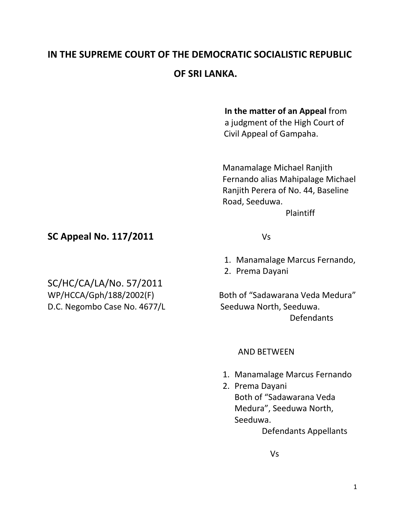# **IN THE SUPREME COURT OF THE DEMOCRATIC SOCIALISTIC REPUBLIC OF SRI LANKA.**

### **In the matter of an Appeal** from

 a judgment of the High Court of Civil Appeal of Gampaha.

 Manamalage Michael Ranjith Fernando alias Mahipalage Michael Ranjith Perera of No. 44, Baseline Road, Seeduwa.

Plaintiff

## **SC Appeal No. 117/2011** Vs

SC/HC/CA/LA/No. 57/2011 D.C. Negombo Case No. 4677/L Seeduwa North, Seeduwa.

- 1. Manamalage Marcus Fernando,
- 2. Prema Dayani

WP/HCCA/Gph/188/2002(F) Both of "Sadawarana Veda Medura" Defendants

#### AND BETWEEN

- 1. Manamalage Marcus Fernando
- 2. Prema Dayani Both of "Sadawarana Veda Medura", Seeduwa North, Seeduwa.

Defendants Appellants

Vs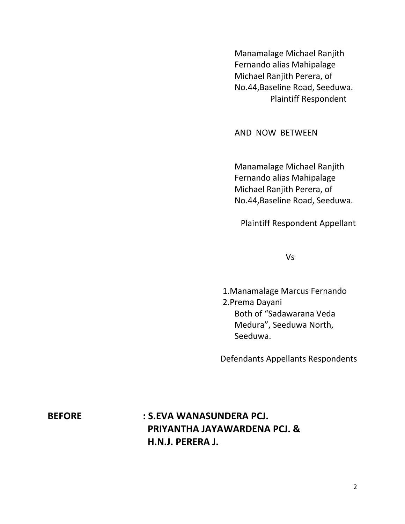Manamalage Michael Ranjith Fernando alias Mahipalage Michael Ranjith Perera, of No.44,Baseline Road, Seeduwa. Plaintiff Respondent

AND NOW BETWEEN

Manamalage Michael Ranjith Fernando alias Mahipalage Michael Ranjith Perera, of No.44,Baseline Road, Seeduwa.

Plaintiff Respondent Appellant

Vs

1.Manamalage Marcus Fernando 2.Prema Dayani Both of "Sadawarana Veda Medura", Seeduwa North, Seeduwa.

Defendants Appellants Respondents

# **BEFORE : S.EVA WANASUNDERA PCJ. PRIYANTHA JAYAWARDENA PCJ. & H.N.J. PERERA J.**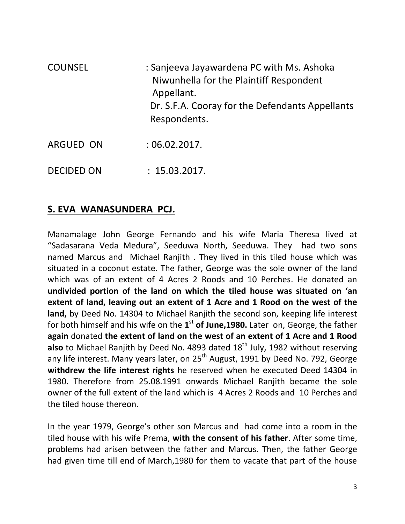| <b>COUNSEL</b> | : Sanjeeva Jayawardena PC with Ms. Ashoka             |
|----------------|-------------------------------------------------------|
|                | Niwunhella for the Plaintiff Respondent<br>Appellant. |
|                | Dr. S.F.A. Cooray for the Defendants Appellants       |
|                | Respondents.                                          |
|                |                                                       |

- ARGUED ON : 06.02.2017.
- DECIDED ON : 15.03.2017.

## **S. EVA WANASUNDERA PCJ.**

Manamalage John George Fernando and his wife Maria Theresa lived at "Sadasarana Veda Medura", Seeduwa North, Seeduwa. They had two sons named Marcus and Michael Ranjith . They lived in this tiled house which was situated in a coconut estate. The father, George was the sole owner of the land which was of an extent of 4 Acres 2 Roods and 10 Perches. He donated an **undivided portion of the land on which the tiled house was situated on 'an extent of land, leaving out an extent of 1 Acre and 1 Rood on the west of the land,** by Deed No. 14304 to Michael Ranjith the second son, keeping life interest for both himself and his wife on the **1 st of June,1980.** Later on, George, the father **again** donated **the extent of land on the west of an extent of 1 Acre and 1 Rood also** to Michael Ranjith by Deed No. 4893 dated 18<sup>th</sup> July, 1982 without reserving any life interest. Many years later, on 25<sup>th</sup> August, 1991 by Deed No. 792, George **withdrew the life interest rights** he reserved when he executed Deed 14304 in 1980. Therefore from 25.08.1991 onwards Michael Ranjith became the sole owner of the full extent of the land which is 4 Acres 2 Roods and 10 Perches and the tiled house thereon.

In the year 1979, George's other son Marcus and had come into a room in the tiled house with his wife Prema, **with the consent of his father**. After some time, problems had arisen between the father and Marcus. Then, the father George had given time till end of March,1980 for them to vacate that part of the house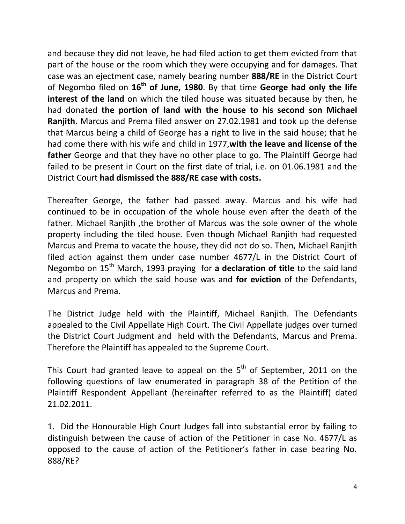and because they did not leave, he had filed action to get them evicted from that part of the house or the room which they were occupying and for damages. That case was an ejectment case, namely bearing number **888/RE** in the District Court of Negombo filed on **16th of June, 1980**. By that time **George had only the life interest of the land** on which the tiled house was situated because by then, he had donated **the portion of land with the house to his second son Michael Ranjith**. Marcus and Prema filed answer on 27.02.1981 and took up the defense that Marcus being a child of George has a right to live in the said house; that he had come there with his wife and child in 1977,**with the leave and license of the father** George and that they have no other place to go. The Plaintiff George had failed to be present in Court on the first date of trial, i.e. on 01.06.1981 and the District Court **had dismissed the 888/RE case with costs.**

Thereafter George, the father had passed away. Marcus and his wife had continued to be in occupation of the whole house even after the death of the father. Michael Ranjith ,the brother of Marcus was the sole owner of the whole property including the tiled house. Even though Michael Ranjith had requested Marcus and Prema to vacate the house, they did not do so. Then, Michael Ranjith filed action against them under case number 4677/L in the District Court of Negombo on 15th March, 1993 praying for **a declaration of title** to the said land and property on which the said house was and **for eviction** of the Defendants, Marcus and Prema.

The District Judge held with the Plaintiff, Michael Ranjith. The Defendants appealed to the Civil Appellate High Court. The Civil Appellate judges over turned the District Court Judgment and held with the Defendants, Marcus and Prema. Therefore the Plaintiff has appealed to the Supreme Court.

This Court had granted leave to appeal on the  $5<sup>th</sup>$  of September, 2011 on the following questions of law enumerated in paragraph 38 of the Petition of the Plaintiff Respondent Appellant (hereinafter referred to as the Plaintiff) dated 21.02.2011.

1. Did the Honourable High Court Judges fall into substantial error by failing to distinguish between the cause of action of the Petitioner in case No. 4677/L as opposed to the cause of action of the Petitioner's father in case bearing No. 888/RE?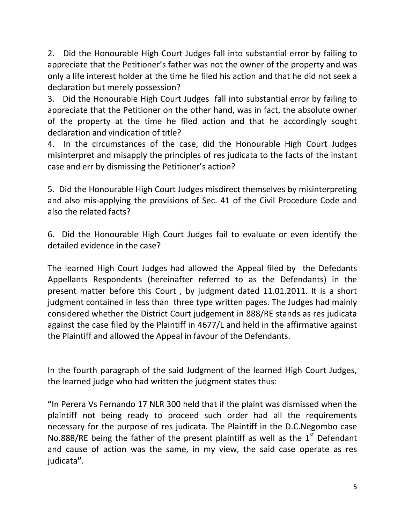2. Did the Honourable High Court Judges fall into substantial error by failing to appreciate that the Petitioner's father was not the owner of the property and was only a life interest holder at the time he filed his action and that he did not seek a declaration but merely possession?

3. Did the Honourable High Court Judges fall into substantial error by failing to appreciate that the Petitioner on the other hand, was in fact, the absolute owner of the property at the time he filed action and that he accordingly sought declaration and vindication of title?

4. In the circumstances of the case, did the Honourable High Court Judges misinterpret and misapply the principles of res judicata to the facts of the instant case and err by dismissing the Petitioner's action?

5. Did the Honourable High Court Judges misdirect themselves by misinterpreting and also mis-applying the provisions of Sec. 41 of the Civil Procedure Code and also the related facts?

6. Did the Honourable High Court Judges fail to evaluate or even identify the detailed evidence in the case?

The learned High Court Judges had allowed the Appeal filed by the Defedants Appellants Respondents (hereinafter referred to as the Defendants) in the present matter before this Court , by judgment dated 11.01.2011. It is a short judgment contained in less than three type written pages. The Judges had mainly considered whether the District Court judgement in 888/RE stands as res judicata against the case filed by the Plaintiff in 4677/L and held in the affirmative against the Plaintiff and allowed the Appeal in favour of the Defendants.

In the fourth paragraph of the said Judgment of the learned High Court Judges, the learned judge who had written the judgment states thus:

**"**In Perera Vs Fernando 17 NLR 300 held that if the plaint was dismissed when the plaintiff not being ready to proceed such order had all the requirements necessary for the purpose of res judicata. The Plaintiff in the D.C.Negombo case No.888/RE being the father of the present plaintiff as well as the  $1<sup>st</sup>$  Defendant and cause of action was the same, in my view, the said case operate as res judicata**"**.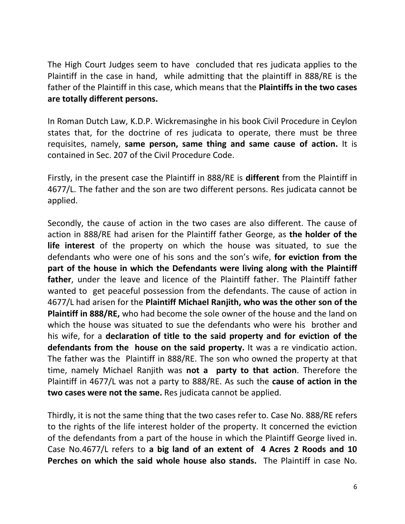The High Court Judges seem to have concluded that res judicata applies to the Plaintiff in the case in hand, while admitting that the plaintiff in 888/RE is the father of the Plaintiff in this case, which means that the **Plaintiffs in the two cases are totally different persons.**

In Roman Dutch Law, K.D.P. Wickremasinghe in his book Civil Procedure in Ceylon states that, for the doctrine of res judicata to operate, there must be three requisites, namely, **same person, same thing and same cause of action.** It is contained in Sec. 207 of the Civil Procedure Code.

Firstly, in the present case the Plaintiff in 888/RE is **different** from the Plaintiff in 4677/L. The father and the son are two different persons. Res judicata cannot be applied.

Secondly, the cause of action in the two cases are also different. The cause of action in 888/RE had arisen for the Plaintiff father George, as **the holder of the life interest** of the property on which the house was situated, to sue the defendants who were one of his sons and the son's wife, **for eviction from the part of the house in which the Defendants were living along with the Plaintiff father**, under the leave and licence of the Plaintiff father. The Plaintiff father wanted to get peaceful possession from the defendants. The cause of action in 4677/L had arisen for the **Plaintiff Michael Ranjith, who was the other son of the Plaintiff in 888/RE,** who had become the sole owner of the house and the land on which the house was situated to sue the defendants who were his brother and his wife, for a **declaration of title to the said property and for eviction of the defendants from the house on the said property.** It was a re vindicatio action. The father was the Plaintiff in 888/RE. The son who owned the property at that time, namely Michael Ranjith was **not a party to that action**. Therefore the Plaintiff in 4677/L was not a party to 888/RE. As such the **cause of action in the two cases were not the same.** Res judicata cannot be applied.

Thirdly, it is not the same thing that the two cases refer to. Case No. 888/RE refers to the rights of the life interest holder of the property. It concerned the eviction of the defendants from a part of the house in which the Plaintiff George lived in. Case No.4677/L refers to **a big land of an extent of 4 Acres 2 Roods and 10 Perches on which the said whole house also stands.** The Plaintiff in case No.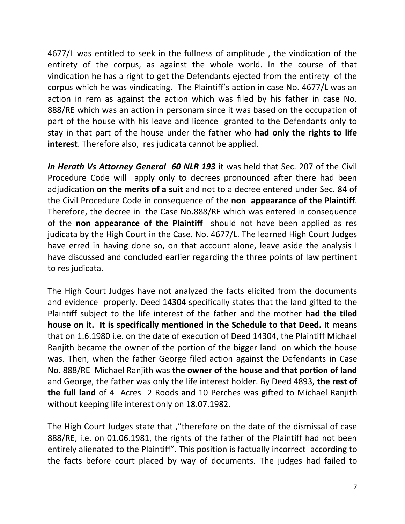4677/L was entitled to seek in the fullness of amplitude , the vindication of the entirety of the corpus, as against the whole world. In the course of that vindication he has a right to get the Defendants ejected from the entirety of the corpus which he was vindicating. The Plaintiff's action in case No. 4677/L was an action in rem as against the action which was filed by his father in case No. 888/RE which was an action in personam since it was based on the occupation of part of the house with his leave and licence granted to the Defendants only to stay in that part of the house under the father who **had only the rights to life interest**. Therefore also, res judicata cannot be applied.

*In Herath Vs Attorney General 60 NLR 193* it was held that Sec. 207 of the Civil Procedure Code will apply only to decrees pronounced after there had been adjudication **on the merits of a suit** and not to a decree entered under Sec. 84 of the Civil Procedure Code in consequence of the **non appearance of the Plaintiff**. Therefore, the decree in the Case No.888/RE which was entered in consequence of the **non appearance of the Plaintiff** should not have been applied as res judicata by the High Court in the Case. No. 4677/L. The learned High Court Judges have erred in having done so, on that account alone, leave aside the analysis I have discussed and concluded earlier regarding the three points of law pertinent to res judicata.

The High Court Judges have not analyzed the facts elicited from the documents and evidence properly. Deed 14304 specifically states that the land gifted to the Plaintiff subject to the life interest of the father and the mother **had the tiled house on it. It is specifically mentioned in the Schedule to that Deed.** It means that on 1.6.1980 i.e. on the date of execution of Deed 14304, the Plaintiff Michael Ranjith became the owner of the portion of the bigger land on which the house was. Then, when the father George filed action against the Defendants in Case No. 888/RE Michael Ranjith was **the owner of the house and that portion of land** and George, the father was only the life interest holder. By Deed 4893, **the rest of the full land** of 4 Acres 2 Roods and 10 Perches was gifted to Michael Ranjith without keeping life interest only on 18.07.1982.

The High Court Judges state that ,"therefore on the date of the dismissal of case 888/RE, i.e. on 01.06.1981, the rights of the father of the Plaintiff had not been entirely alienated to the Plaintiff". This position is factually incorrect according to the facts before court placed by way of documents. The judges had failed to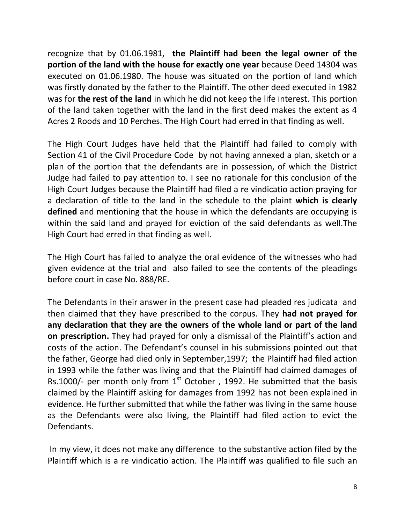recognize that by 01.06.1981, **the Plaintiff had been the legal owner of the portion of the land with the house for exactly one year** because Deed 14304 was executed on 01.06.1980. The house was situated on the portion of land which was firstly donated by the father to the Plaintiff. The other deed executed in 1982 was for **the rest of the land** in which he did not keep the life interest. This portion of the land taken together with the land in the first deed makes the extent as 4 Acres 2 Roods and 10 Perches. The High Court had erred in that finding as well.

The High Court Judges have held that the Plaintiff had failed to comply with Section 41 of the Civil Procedure Code by not having annexed a plan, sketch or a plan of the portion that the defendants are in possession, of which the District Judge had failed to pay attention to. I see no rationale for this conclusion of the High Court Judges because the Plaintiff had filed a re vindicatio action praying for a declaration of title to the land in the schedule to the plaint **which is clearly defined** and mentioning that the house in which the defendants are occupying is within the said land and prayed for eviction of the said defendants as well.The High Court had erred in that finding as well.

The High Court has failed to analyze the oral evidence of the witnesses who had given evidence at the trial and also failed to see the contents of the pleadings before court in case No. 888/RE.

The Defendants in their answer in the present case had pleaded res judicata and then claimed that they have prescribed to the corpus. They **had not prayed for any declaration that they are the owners of the whole land or part of the land on prescription.** They had prayed for only a dismissal of the Plaintiff's action and costs of the action. The Defendant's counsel in his submissions pointed out that the father, George had died only in September,1997; the Plaintiff had filed action in 1993 while the father was living and that the Plaintiff had claimed damages of Rs.1000/- per month only from  $1<sup>st</sup>$  October, 1992. He submitted that the basis claimed by the Plaintiff asking for damages from 1992 has not been explained in evidence. He further submitted that while the father was living in the same house as the Defendants were also living, the Plaintiff had filed action to evict the Defendants.

In my view, it does not make any difference to the substantive action filed by the Plaintiff which is a re vindicatio action. The Plaintiff was qualified to file such an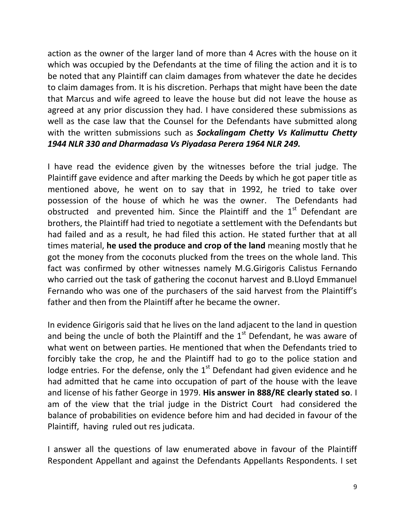action as the owner of the larger land of more than 4 Acres with the house on it which was occupied by the Defendants at the time of filing the action and it is to be noted that any Plaintiff can claim damages from whatever the date he decides to claim damages from. It is his discretion. Perhaps that might have been the date that Marcus and wife agreed to leave the house but did not leave the house as agreed at any prior discussion they had. I have considered these submissions as well as the case law that the Counsel for the Defendants have submitted along with the written submissions such as *Sockalingam Chetty Vs Kalimuttu Chetty 1944 NLR 330 and Dharmadasa Vs Piyadasa Perera 1964 NLR 249.*

I have read the evidence given by the witnesses before the trial judge. The Plaintiff gave evidence and after marking the Deeds by which he got paper title as mentioned above, he went on to say that in 1992, he tried to take over possession of the house of which he was the owner. The Defendants had obstructed and prevented him. Since the Plaintiff and the  $1<sup>st</sup>$  Defendant are brothers, the Plaintiff had tried to negotiate a settlement with the Defendants but had failed and as a result, he had filed this action. He stated further that at all times material, **he used the produce and crop of the land** meaning mostly that he got the money from the coconuts plucked from the trees on the whole land. This fact was confirmed by other witnesses namely M.G.Girigoris Calistus Fernando who carried out the task of gathering the coconut harvest and B.Lloyd Emmanuel Fernando who was one of the purchasers of the said harvest from the Plaintiff's father and then from the Plaintiff after he became the owner.

In evidence Girigoris said that he lives on the land adjacent to the land in question and being the uncle of both the Plaintiff and the  $1<sup>st</sup>$  Defendant, he was aware of what went on between parties. He mentioned that when the Defendants tried to forcibly take the crop, he and the Plaintiff had to go to the police station and lodge entries. For the defense, only the  $1<sup>st</sup>$  Defendant had given evidence and he had admitted that he came into occupation of part of the house with the leave and license of his father George in 1979. **His answer in 888/RE clearly stated so**. I am of the view that the trial judge in the District Court had considered the balance of probabilities on evidence before him and had decided in favour of the Plaintiff, having ruled out res judicata.

I answer all the questions of law enumerated above in favour of the Plaintiff Respondent Appellant and against the Defendants Appellants Respondents. I set